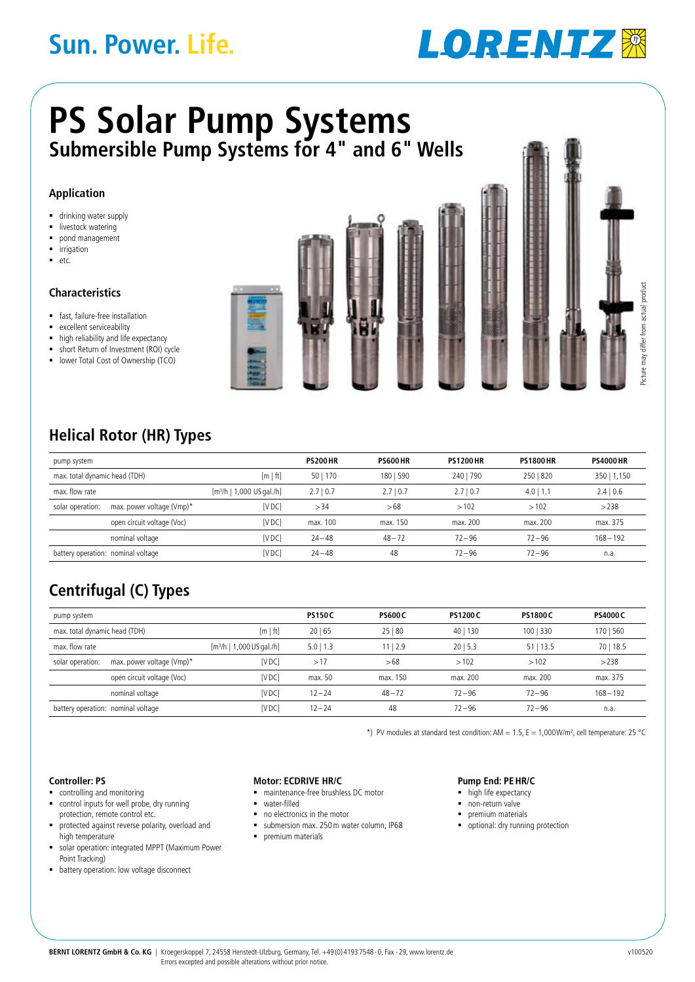# **Sun. Power. Life.**



# **Submersible Pump Systems for 4" and 6" Wells PS Solar Pump Systems**

### **Application**

- **drinking water supply**
- **I** livestock watering
- pond management
- irrigation
- $e$

### **Characteristics**

- fast, failure-free installation
- **EXCELLENT SERVICEABIlity**
- high reliability and life expectancy
- short Return of Investment (ROI) cycle
- **-** lower Total Cost of Ownership (TCO)



## **Helical Rotor (HR) Types**

| pump system                                 |                            |                                       | <b>PS200 HR</b> | <b>PS600 HR</b> | <b>PS1200 HR</b> | <b>PS1800 HR</b> | <b>PS4000 HR</b> |
|---------------------------------------------|----------------------------|---------------------------------------|-----------------|-----------------|------------------|------------------|------------------|
| max. total dynamic head (TDH)               |                            | [m   ft]                              | 50   170        | 180   590       | 240   790        | 250   820        | 350   1,150      |
| max. flow rate                              |                            | [m <sup>3</sup> /h   1,000 US gal./h] | 2.710.7         | 2.710.7         | 2.710.7          | 4.0<br>1.1       | 2.4   0.6        |
| solar operation:                            | max. power voltage (Vmp)*  | <b>IVDC</b>                           | >34             | >68             | >102             | >102             | >238             |
|                                             | open circuit voltage (Voc) | <b>IVDC</b>                           | max. 100        | max. 150        | max. 200         | max. 200         | max. 375         |
|                                             | nominal voltage            | <b>IVDC</b>                           | $24 - 48$       | $48 - 72$       | $72 - 96$        | $72 - 96$        | $168 - 192$      |
| [VDC]<br>battery operation: nominal voltage |                            | $24 - 48$                             | 48              | $72 - 96$       | $72 - 96$        | n.a.             |                  |

## **Centrifugal (C) Types**

| pump system                                 |                            |                                       | <b>PS150C</b> | <b>PS600C</b> | <b>PS1200C</b>         | <b>PS1800 C</b> | <b>PS4000 C</b> |
|---------------------------------------------|----------------------------|---------------------------------------|---------------|---------------|------------------------|-----------------|-----------------|
| max. total dynamic head (TDH)               |                            | [m   ft]                              | 20 65         | 25 80         | 40 <sub>1</sub><br>130 | 100   330       | 170   560       |
| max. flow rate                              |                            | [m <sup>3</sup> /h   1,000 US gal./h] | $5.0$   1.3   | 1112.9        | 2015.3                 | $51$   13.5     | 70   18.5       |
| solar operation:                            | max. power voltage (Vmp)*  | [VDC]                                 | >17           | >68           | >102                   | >102            | >238            |
|                                             | open circuit voltage (Voc) | [VDC]                                 | max. 50       | max. 150      | max. 200               | max. 200        | max. 375        |
|                                             | nominal voltage            | [VDC]                                 | $12 - 24$     | $48 - 72$     | $72 - 96$              | $72 - 96$       | $168 - 192$     |
| [VDC]<br>battery operation: nominal voltage |                            | $12 - 24$                             | 48            | $72 - 96$     | $72 - 96$              | n.a.            |                 |

\*) PV modules at standard test condition: AM = 1.5, E = 1,000W/m<sup>2</sup>, cell temperature: 25 °C

#### **Controller: PS**

- **•** controlling and monitoring
- control inputs for well probe, dry running protection, remote control etc.
- protected against reverse polarity, overload and high temperature
- solar operation: integrated MPPT (Maximum Power Point Tracking)
- **•** battery operation: low voltage disconnect

#### **Motor: ECDrive HR/C**

- maintenance-free brushless DC motor
- water-filled
- no electronics in the motor
- submersion max. 250m water column, IP68
- $\blacksquare$  premium materials

#### **Pump End: PEHR/C**

- high life expectancy
- non-return valve
- premium materials
- **•** optional: dry running protection